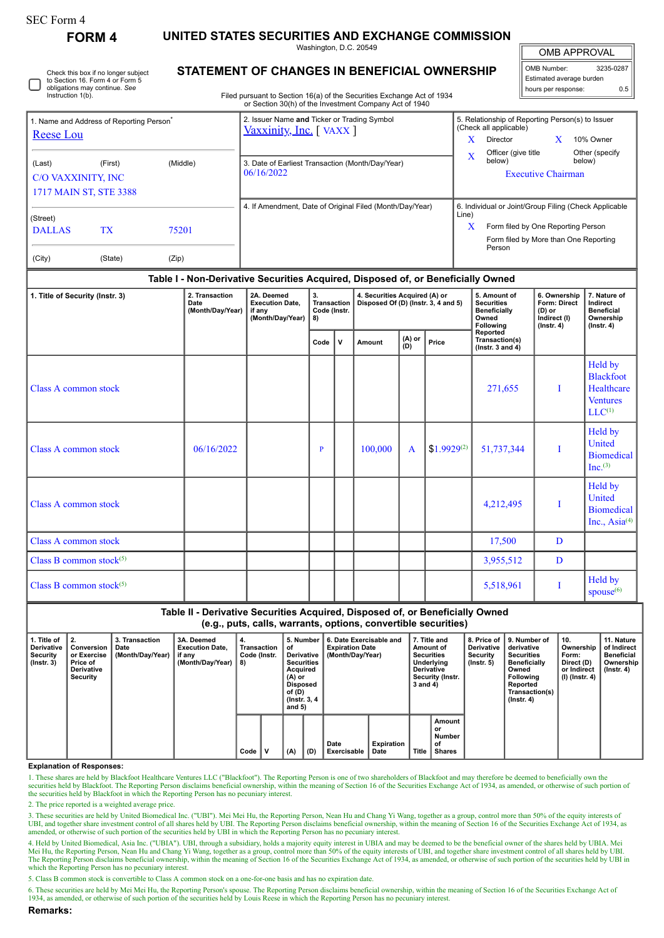| SEC Form 4 |
|------------|
|------------|

**FORM 4 UNITED STATES SECURITIES AND EXCHANGE COMMISSION**

Washington, D.C. 20549

Check this box if no longer subject to Section 16. Form 4 or Form 5 obligations may continue. *See* Instruction 1(b).

## **STATEMENT OF CHANGES IN BENEFICIAL OWNERSHIP**

Filed pursuant to Section 16(a) of the Securities Exchange Act of 1934 or Section 30(h) of the Investment Company Act of 1940

| <b>OMB APPROVAL</b> |           |  |  |  |  |  |
|---------------------|-----------|--|--|--|--|--|
| OMB Number:         | 3235-0287 |  |  |  |  |  |

Estimated average burden hours per response: 0.5

| Name and Address of Reporting Person <sup>®</sup><br>Reese Lou |                        |          | 2. Issuer Name and Ticker or Trading Symbol<br>Vaxxinity, Inc. [VAXX] | 5. Relationship of Reporting Person(s) to Issuer<br>(Check all applicable) |  |  |  |  |
|----------------------------------------------------------------|------------------------|----------|-----------------------------------------------------------------------|----------------------------------------------------------------------------|--|--|--|--|
|                                                                |                        |          |                                                                       | X<br>10% Owner<br>Director                                                 |  |  |  |  |
| (Last)                                                         | (First)                | (Middle) | 3. Date of Earliest Transaction (Month/Day/Year)                      | Officer (give title)<br>Other (specify)<br>X<br>below)<br>below)           |  |  |  |  |
| <b>C/O VAXXINITY, INC</b>                                      |                        |          | 06/16/2022                                                            | <b>Executive Chairman</b>                                                  |  |  |  |  |
|                                                                | 1717 MAIN ST, STE 3388 |          |                                                                       |                                                                            |  |  |  |  |
| (Street)                                                       |                        |          | 4. If Amendment, Date of Original Filed (Month/Day/Year)              | 6. Individual or Joint/Group Filing (Check Applicable<br>Line)             |  |  |  |  |
| <b>DALLAS</b>                                                  | <b>TX</b>              | 75201    |                                                                       | X<br>Form filed by One Reporting Person                                    |  |  |  |  |
|                                                                |                        |          |                                                                       | Form filed by More than One Reporting<br>Person                            |  |  |  |  |
| (City)                                                         | (State)                | (Zip)    |                                                                       |                                                                            |  |  |  |  |

## **Table I - Non-Derivative Securities Acquired, Disposed of, or Beneficially Owned**

| 1. Title of Security (Instr. 3) | 2. Transaction<br>Date<br>(Month/Day/Year) | 2A. Deemed<br><b>Execution Date,</b><br>if any<br>(Month/Day/Year) | 3.<br>8)     | 4. Securities Acquired (A) or<br>Transaction<br>Disposed Of (D) (Instr. 3, 4 and 5)<br>Code (Instr. |         |               | 5. Amount of<br><b>Securities</b><br><b>Beneficially</b><br>Owned<br>Following | 6. Ownership<br>Form: Direct<br>(D) or<br>Indirect (I)<br>$($ Instr. 4 $)$ | 7. Nature of<br>Indirect<br><b>Beneficial</b><br>Ownership<br>$($ Instr. 4 $)$ |                                                                             |
|---------------------------------|--------------------------------------------|--------------------------------------------------------------------|--------------|-----------------------------------------------------------------------------------------------------|---------|---------------|--------------------------------------------------------------------------------|----------------------------------------------------------------------------|--------------------------------------------------------------------------------|-----------------------------------------------------------------------------|
|                                 |                                            |                                                                    | Code         | $\mathsf{v}$                                                                                        | Amount  | (A) or<br>(D) | Price                                                                          | Reported<br>Transaction(s)<br>( $lnstr. 3 and 4$ )                         |                                                                                |                                                                             |
| Class A common stock            |                                            |                                                                    |              |                                                                                                     |         |               |                                                                                | 271,655                                                                    |                                                                                | Held by<br><b>Blackfoot</b><br>Healthcare<br><b>Ventures</b><br>$LLC^{(1)}$ |
| Class A common stock            | 06/16/2022                                 |                                                                    | $\mathbf{P}$ |                                                                                                     | 100,000 | $\mathbf{A}$  | $$1.9929^{(2)}$                                                                | 51,737,344                                                                 | T                                                                              | Held by<br>United<br><b>Biomedical</b><br>$Inc^{(3)}$                       |
| Class A common stock            |                                            |                                                                    |              |                                                                                                     |         |               |                                                                                | 4,212,495                                                                  |                                                                                | Held by<br>United<br><b>Biomedical</b><br>Inc., Asia <sup>(4)</sup>         |
| Class A common stock            |                                            |                                                                    |              |                                                                                                     |         |               |                                                                                | 17,500                                                                     | D                                                                              |                                                                             |
| Class B common stock $(5)$      |                                            |                                                                    |              |                                                                                                     |         |               |                                                                                | 3,955,512                                                                  | D                                                                              |                                                                             |
| Class B common stock $(5)$      |                                            |                                                                    |              |                                                                                                     |         |               |                                                                                | 5,518,961                                                                  |                                                                                | Held by<br>spouse <sup>(6)</sup>                                            |

## **Table II - Derivative Securities Acquired, Disposed of, or Beneficially Owned (e.g., puts, calls, warrants, options, convertible securities) 1. Title of Derivative Security (Instr. 3) 2. Conversion or Exercise Price of Derivative Security 3. Transaction Date (Month/Day/Year) 3A. Deemed Execution Date, if any (Month/Day/Year) 4. Transaction Code (Instr. 8) 5. Number of Derivative Securities Acquired (A) or Disposed of (D) (Instr. 3, 4 and 5) 6. Date Exercisable and Expiration Date (Month/Day/Year) 7. Title and Amount of Securities Underlying Derivative Security (Instr. 3 and 4) 8. Price of Derivative Security (Instr. 5) 9. Number of derivative Securities Beneficially Owned Following Reported Transaction(s) (Instr. 4) 10. Ownership Form: Direct (D) or Indirect (I) (Instr. 4) 11. Nature of Indirect Beneficial Ownership (Instr. 4)**  $Code \n\begin{bmatrix} V \\ W \end{bmatrix} (A) \n\begin{bmatrix} D \end{bmatrix}$ **Date Exercisable Expiration Date Title Amount or Number of Shares**

**Explanation of Responses:**

1. These shares are held by Blackfoot Healthcare Ventures LLC ("Blackfoot"). The Reporting Person is one of two shareholders of Blackfoot and may therefore be deemed to beneficially own the securities held by Blackfoot. Th the securities held by Blackfoot in which the Reporting Person has no pecuniary interest.

2. The price reported is a weighted average price.

3. These securities are held by United Biomedical Inc. ("UBI"). Mei Mei Hu, the Reporting Person, Nean Hu and Chang Yi Wang, together as a group, control more than 50% of the equity interests of UBI, and together share investment control of all shares held by UBI. The Reporting Person disclaims beneficial ownership, within the meaning of Section 16 of the Securities Exchange Act of 1934, as amended, or otherwise o

4. Held by United Biomedical, Asia Inc. ("UBIA"). UBI, through a subsidiary, holds a majority equity interest in UBIA and may be deemed to be the beneficial owner of the shares held by UBIA. Mei<br>Mei Hu, the Reporting Perso The Reporting Person disclaims beneficial ownership, within the meaning of Section 16 of the Securities Exchange Act of 1934, as amended, or otherwise of such portion of the securities held by UBI in which the Reporting Person has no pecuniary interest.

5. Class B common stock is convertible to Class A common stock on a one-for-one basis and has no expiration date.

6. These securities are held by Mei Mei Hu, the Reporting Person's spouse. The Reporting Person disclaims beneficial ownership, within the meaning of Section 16 of the Securities Exchange Act of<br>1934, as amended, or otherw

**Remarks:**